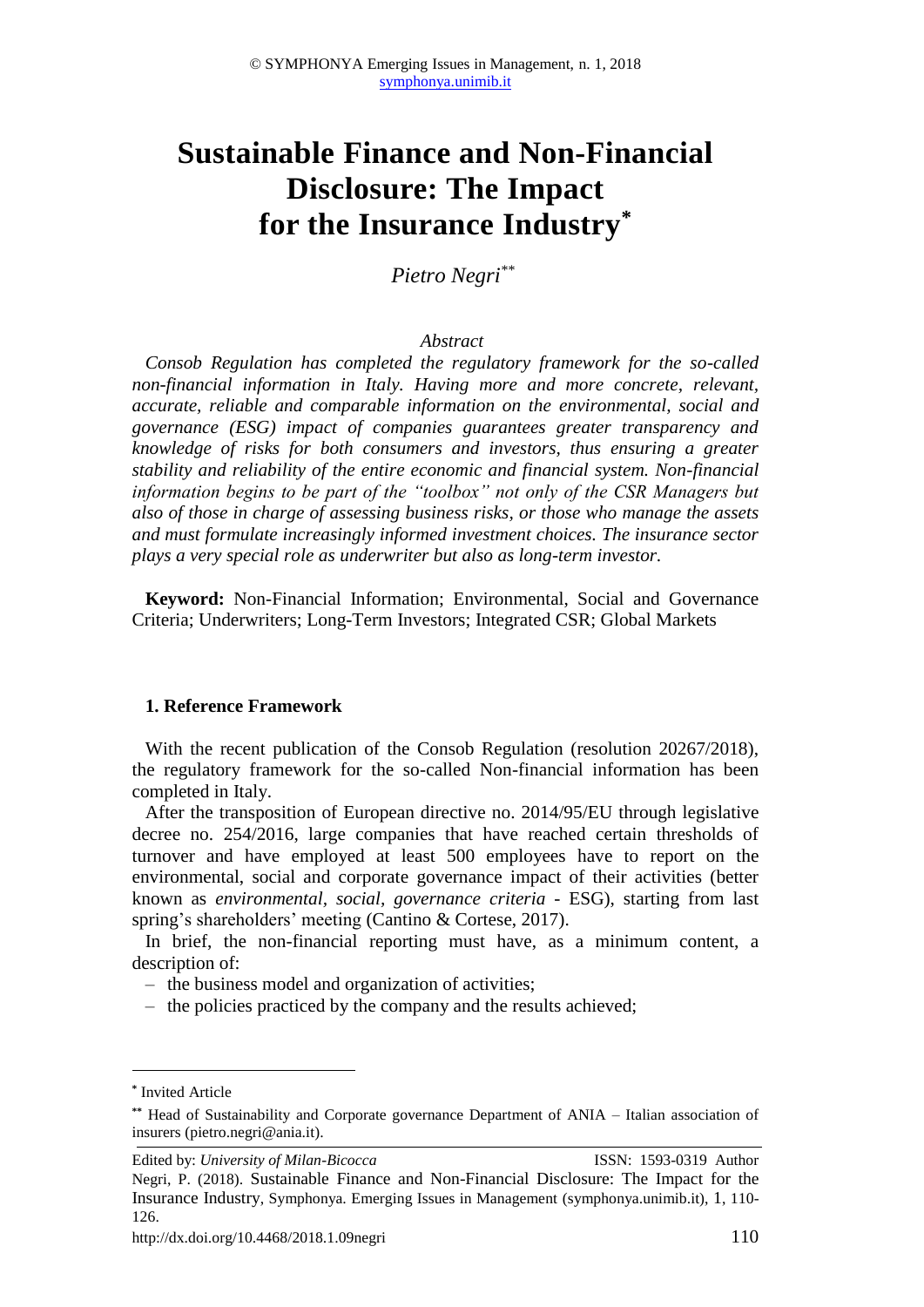# **Sustainable Finance and Non-Financial Disclosure: The Impact for the Insurance Industry\***

*Pietro Negri \*\**

## *Abstract*

*Consob Regulation has completed the regulatory framework for the so-called non-financial information in Italy. Having more and more concrete, relevant, accurate, reliable and comparable information on the environmental, social and governance (ESG) impact of companies guarantees greater transparency and knowledge of risks for both consumers and investors, thus ensuring a greater stability and reliability of the entire economic and financial system. Non-financial information begins to be part of the "toolbox" not only of the CSR Managers but also of those in charge of assessing business risks, or those who manage the assets and must formulate increasingly informed investment choices. The insurance sector plays a very special role as underwriter but also as long-term investor.* 

**Keyword:** Non-Financial Information; Environmental, Social and Governance Criteria; Underwriters; Long-Term Investors; Integrated CSR; Global Markets

### **1. Reference Framework**

With the recent publication of the Consob Regulation (resolution 20267/2018), the regulatory framework for the so-called Non-financial information has been completed in Italy.

After the transposition of European directive no. 2014/95/EU through legislative decree no. 254/2016, large companies that have reached certain thresholds of turnover and have employed at least 500 employees have to report on the environmental, social and corporate governance impact of their activities (better known as *environmental, social, governance criteria* - ESG), starting from last spring's shareholders' meeting (Cantino & Cortese, 2017).

In brief, the non-financial reporting must have, as a minimum content, a description of:

- ‒ the business model and organization of activities;
- ‒ the policies practiced by the company and the results achieved;

1

**<sup>\*</sup>** Invited Article

**<sup>\*\*</sup>** Head of Sustainability and Corporate governance Department of ANIA – Italian association of insurers (pietro.negri@ania.it).

Edited by: *University of Milan-Bicocca* ISSN: 1593-0319 Author Negri, P. (2018). Sustainable Finance and Non-Financial Disclosure: The Impact for the Insurance Industry, Symphonya. Emerging Issues in Management (symphonya.unimib.it), 1, 110- 126.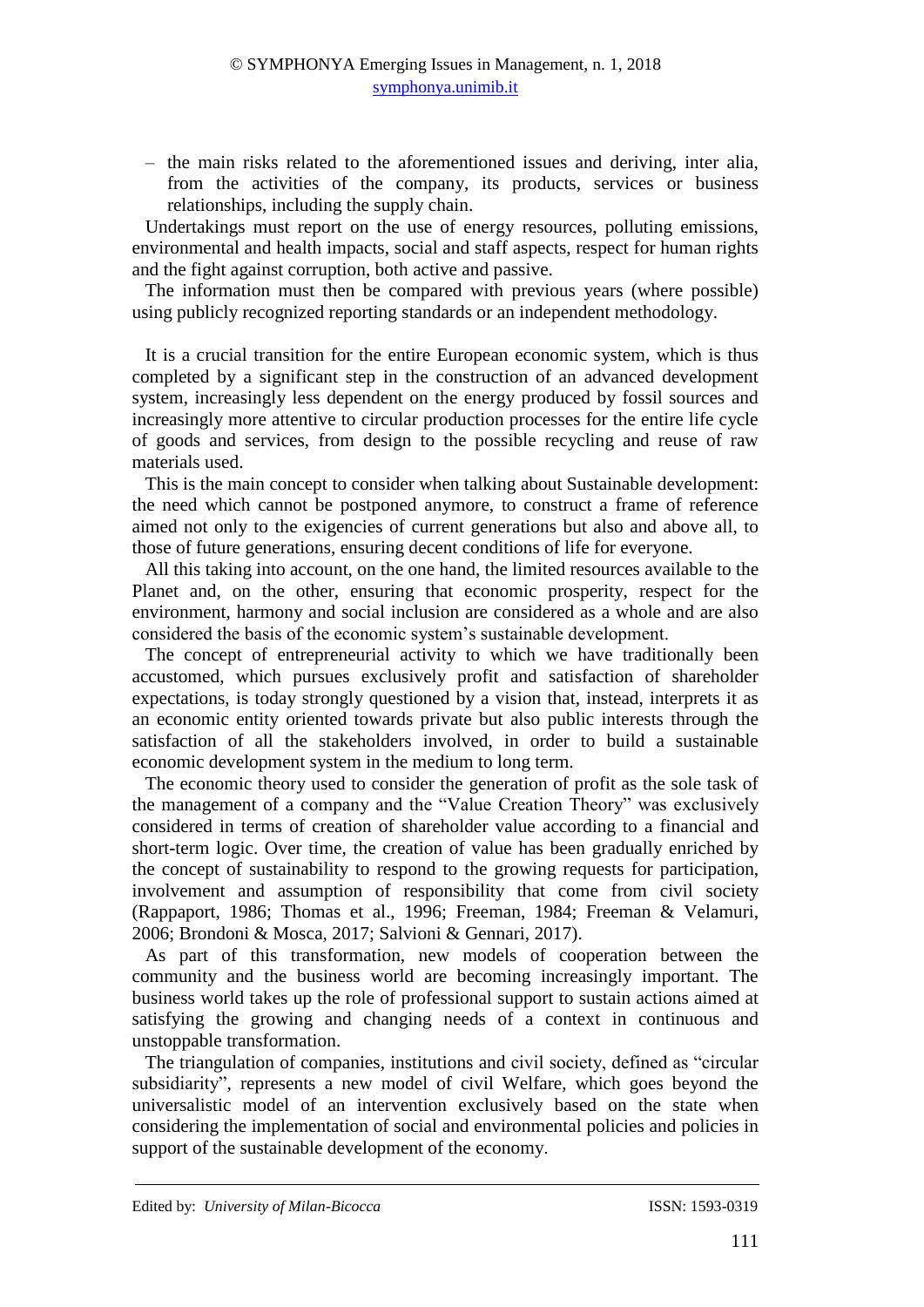‒ the main risks related to the aforementioned issues and deriving, inter alia, from the activities of the company, its products, services or business relationships, including the supply chain.

Undertakings must report on the use of energy resources, polluting emissions, environmental and health impacts, social and staff aspects, respect for human rights and the fight against corruption, both active and passive.

The information must then be compared with previous years (where possible) using publicly recognized reporting standards or an independent methodology.

It is a crucial transition for the entire European economic system, which is thus completed by a significant step in the construction of an advanced development system, increasingly less dependent on the energy produced by fossil sources and increasingly more attentive to circular production processes for the entire life cycle of goods and services, from design to the possible recycling and reuse of raw materials used.

This is the main concept to consider when talking about Sustainable development: the need which cannot be postponed anymore, to construct a frame of reference aimed not only to the exigencies of current generations but also and above all, to those of future generations, ensuring decent conditions of life for everyone.

All this taking into account, on the one hand, the limited resources available to the Planet and, on the other, ensuring that economic prosperity, respect for the environment, harmony and social inclusion are considered as a whole and are also considered the basis of the economic system's sustainable development.

The concept of entrepreneurial activity to which we have traditionally been accustomed, which pursues exclusively profit and satisfaction of shareholder expectations, is today strongly questioned by a vision that, instead, interprets it as an economic entity oriented towards private but also public interests through the satisfaction of all the stakeholders involved, in order to build a sustainable economic development system in the medium to long term.

The economic theory used to consider the generation of profit as the sole task of the management of a company and the "Value Creation Theory" was exclusively considered in terms of creation of shareholder value according to a financial and short-term logic. Over time, the creation of value has been gradually enriched by the concept of sustainability to respond to the growing requests for participation, involvement and assumption of responsibility that come from civil society (Rappaport, 1986; Thomas et al., 1996; Freeman, 1984; Freeman & Velamuri, 2006; Brondoni & Mosca, 2017; Salvioni & Gennari, 2017).

As part of this transformation, new models of cooperation between the community and the business world are becoming increasingly important. The business world takes up the role of professional support to sustain actions aimed at satisfying the growing and changing needs of a context in continuous and unstoppable transformation.

The triangulation of companies, institutions and civil society, defined as "circular subsidiarity", represents a new model of civil Welfare, which goes beyond the universalistic model of an intervention exclusively based on the state when considering the implementation of social and environmental policies and policies in support of the sustainable development of the economy.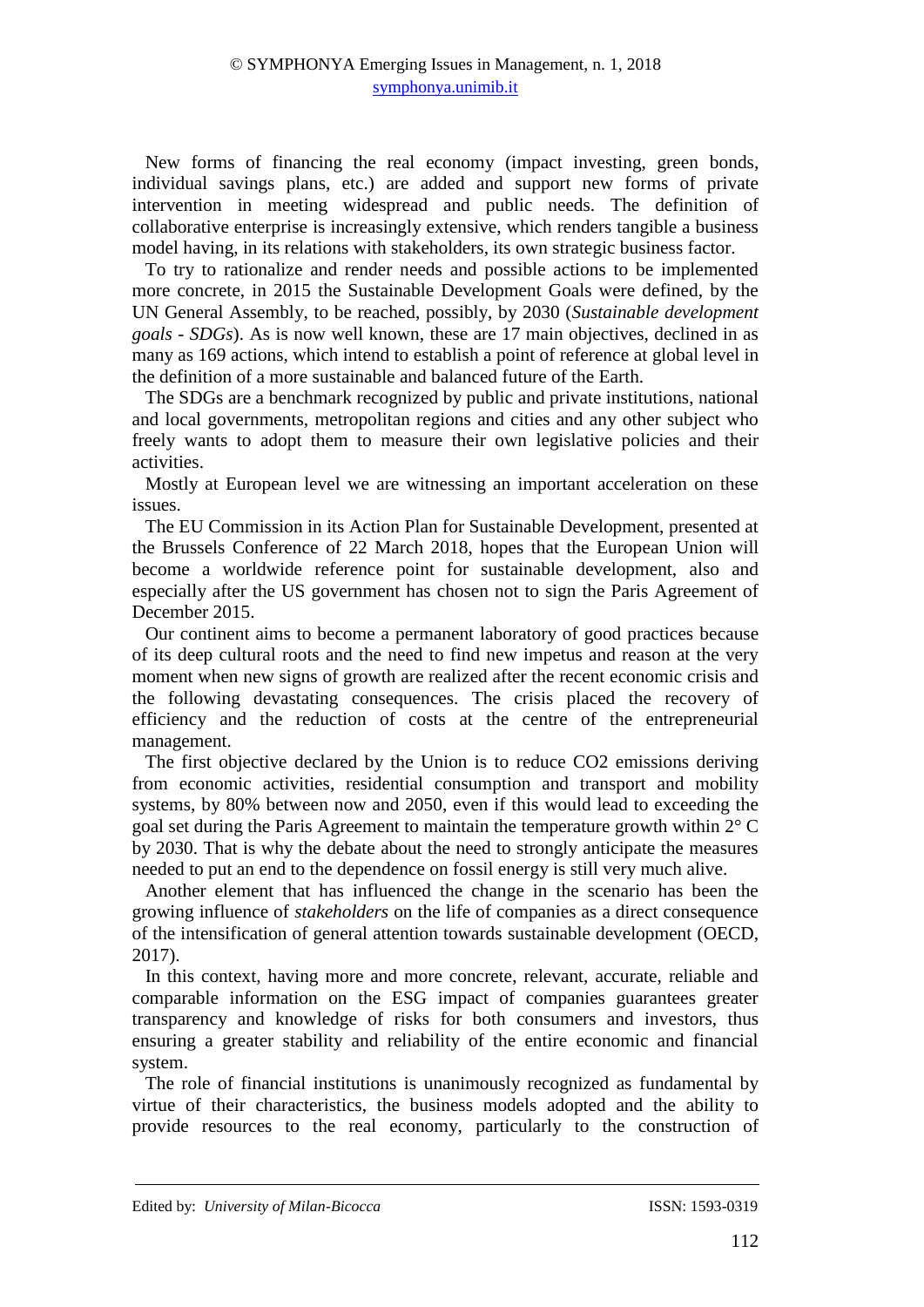New forms of financing the real economy (impact investing, green bonds, individual savings plans, etc.) are added and support new forms of private intervention in meeting widespread and public needs. The definition of collaborative enterprise is increasingly extensive, which renders tangible a business model having, in its relations with stakeholders, its own strategic business factor.

To try to rationalize and render needs and possible actions to be implemented more concrete, in 2015 the Sustainable Development Goals were defined, by the UN General Assembly, to be reached, possibly, by 2030 (*Sustainable development goals - SDGs*). As is now well known, these are 17 main objectives, declined in as many as 169 actions, which intend to establish a point of reference at global level in the definition of a more sustainable and balanced future of the Earth.

The SDGs are a benchmark recognized by public and private institutions, national and local governments, metropolitan regions and cities and any other subject who freely wants to adopt them to measure their own legislative policies and their activities.

Mostly at European level we are witnessing an important acceleration on these issues.

The EU Commission in its Action Plan for Sustainable Development, presented at the Brussels Conference of 22 March 2018, hopes that the European Union will become a worldwide reference point for sustainable development, also and especially after the US government has chosen not to sign the Paris Agreement of December 2015.

Our continent aims to become a permanent laboratory of good practices because of its deep cultural roots and the need to find new impetus and reason at the very moment when new signs of growth are realized after the recent economic crisis and the following devastating consequences. The crisis placed the recovery of efficiency and the reduction of costs at the centre of the entrepreneurial management.

The first objective declared by the Union is to reduce CO2 emissions deriving from economic activities, residential consumption and transport and mobility systems, by 80% between now and 2050, even if this would lead to exceeding the goal set during the Paris Agreement to maintain the temperature growth within 2° C by 2030. That is why the debate about the need to strongly anticipate the measures needed to put an end to the dependence on fossil energy is still very much alive.

Another element that has influenced the change in the scenario has been the growing influence of *stakeholders* on the life of companies as a direct consequence of the intensification of general attention towards sustainable development (OECD, 2017).

In this context, having more and more concrete, relevant, accurate, reliable and comparable information on the ESG impact of companies guarantees greater transparency and knowledge of risks for both consumers and investors, thus ensuring a greater stability and reliability of the entire economic and financial system.

The role of financial institutions is unanimously recognized as fundamental by virtue of their characteristics, the business models adopted and the ability to provide resources to the real economy, particularly to the construction of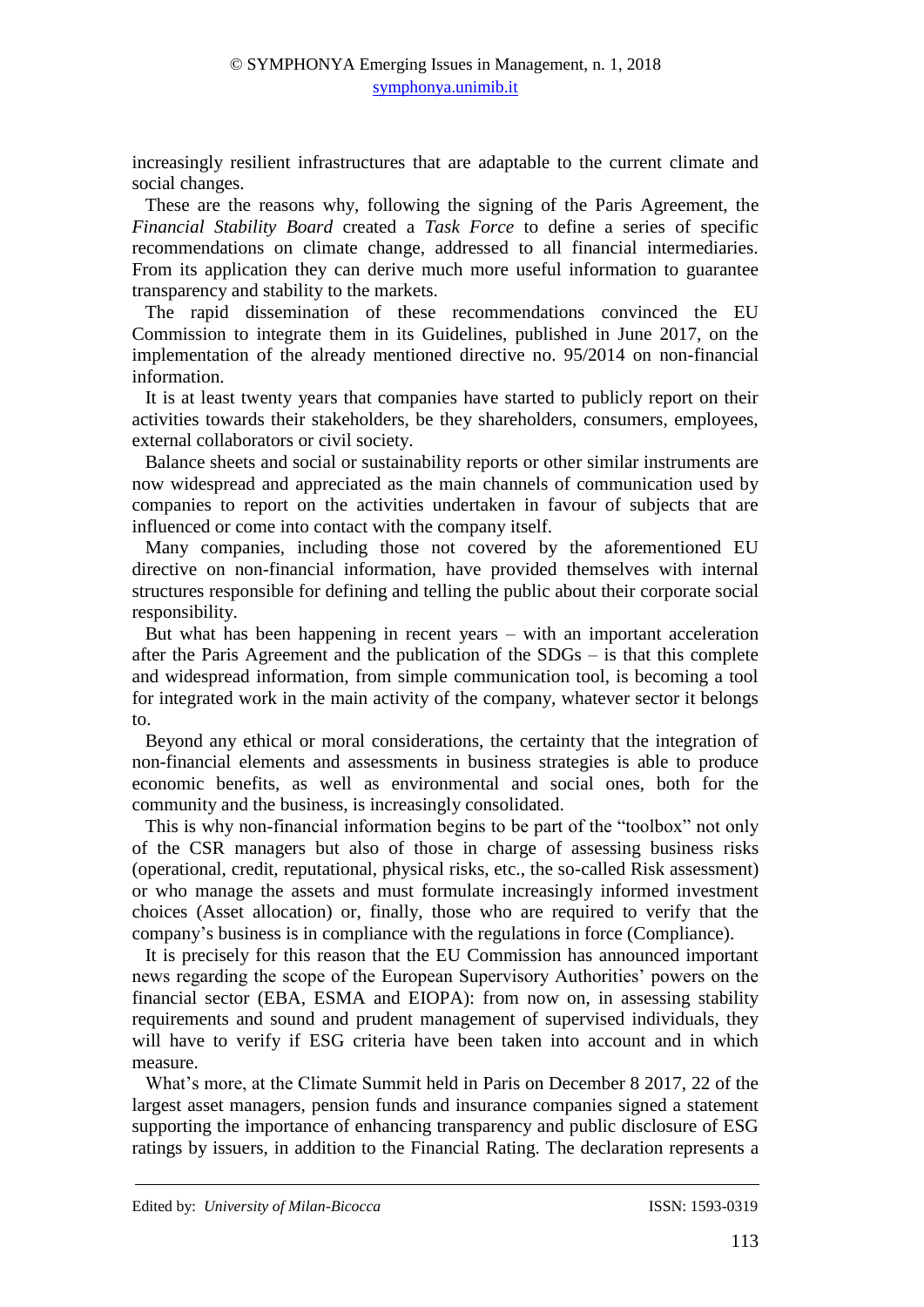increasingly resilient infrastructures that are adaptable to the current climate and social changes.

These are the reasons why, following the signing of the Paris Agreement, the *Financial Stability Board* created a *Task Force* to define a series of specific recommendations on climate change, addressed to all financial intermediaries. From its application they can derive much more useful information to guarantee transparency and stability to the markets.

The rapid dissemination of these recommendations convinced the EU Commission to integrate them in its Guidelines, published in June 2017, on the implementation of the already mentioned directive no. 95/2014 on non-financial information.

It is at least twenty years that companies have started to publicly report on their activities towards their stakeholders, be they shareholders, consumers, employees, external collaborators or civil society.

Balance sheets and social or sustainability reports or other similar instruments are now widespread and appreciated as the main channels of communication used by companies to report on the activities undertaken in favour of subjects that are influenced or come into contact with the company itself.

Many companies, including those not covered by the aforementioned EU directive on non-financial information, have provided themselves with internal structures responsible for defining and telling the public about their corporate social responsibility.

But what has been happening in recent years – with an important acceleration after the Paris Agreement and the publication of the SDGs – is that this complete and widespread information, from simple communication tool, is becoming a tool for integrated work in the main activity of the company, whatever sector it belongs to.

Beyond any ethical or moral considerations, the certainty that the integration of non-financial elements and assessments in business strategies is able to produce economic benefits, as well as environmental and social ones, both for the community and the business, is increasingly consolidated.

This is why non-financial information begins to be part of the "toolbox" not only of the CSR managers but also of those in charge of assessing business risks (operational, credit, reputational, physical risks, etc., the so-called Risk assessment) or who manage the assets and must formulate increasingly informed investment choices (Asset allocation) or, finally, those who are required to verify that the company's business is in compliance with the regulations in force (Compliance).

It is precisely for this reason that the EU Commission has announced important news regarding the scope of the European Supervisory Authorities' powers on the financial sector (EBA, ESMA and EIOPA): from now on, in assessing stability requirements and sound and prudent management of supervised individuals, they will have to verify if ESG criteria have been taken into account and in which measure.

What's more, at the Climate Summit held in Paris on December 8 2017, 22 of the largest asset managers, pension funds and insurance companies signed a statement supporting the importance of enhancing transparency and public disclosure of ESG ratings by issuers, in addition to the Financial Rating. The declaration represents a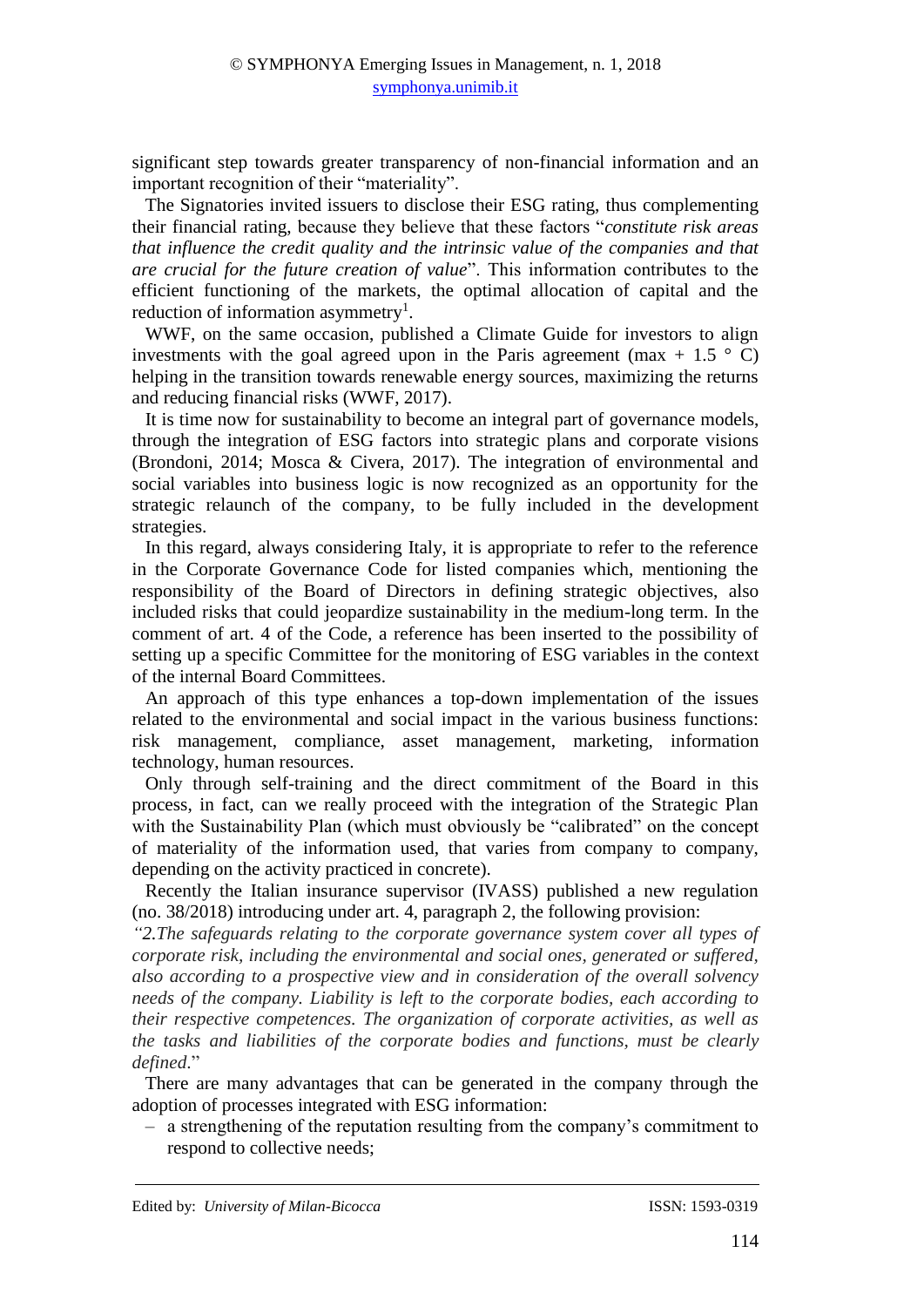significant step towards greater transparency of non-financial information and an important recognition of their "materiality".

The Signatories invited issuers to disclose their ESG rating, thus complementing their financial rating, because they believe that these factors "*constitute risk areas that influence the credit quality and the intrinsic value of the companies and that are crucial for the future creation of value*". This information contributes to the efficient functioning of the markets, the optimal allocation of capital and the reduction of information asymmetry<sup>1</sup>.

WWF, on the same occasion, published a Climate Guide for investors to align investments with the goal agreed upon in the Paris agreement (max + 1.5  $\degree$  C) helping in the transition towards renewable energy sources, maximizing the returns and reducing financial risks (WWF, 2017).

It is time now for sustainability to become an integral part of governance models, through the integration of ESG factors into strategic plans and corporate visions (Brondoni, 2014; Mosca & Civera, 2017). The integration of environmental and social variables into business logic is now recognized as an opportunity for the strategic relaunch of the company, to be fully included in the development strategies.

In this regard, always considering Italy, it is appropriate to refer to the reference in the Corporate Governance Code for listed companies which, mentioning the responsibility of the Board of Directors in defining strategic objectives, also included risks that could jeopardize sustainability in the medium-long term. In the comment of art. 4 of the Code, a reference has been inserted to the possibility of setting up a specific Committee for the monitoring of ESG variables in the context of the internal Board Committees.

An approach of this type enhances a top-down implementation of the issues related to the environmental and social impact in the various business functions: risk management, compliance, asset management, marketing, information technology, human resources.

Only through self-training and the direct commitment of the Board in this process, in fact, can we really proceed with the integration of the Strategic Plan with the Sustainability Plan (which must obviously be "calibrated" on the concept of materiality of the information used, that varies from company to company, depending on the activity practiced in concrete).

Recently the Italian insurance supervisor (IVASS) published a new regulation (no. 38/2018) introducing under art. 4, paragraph 2, the following provision:

*"2.The safeguards relating to the corporate governance system cover all types of corporate risk, including the environmental and social ones, generated or suffered, also according to a prospective view and in consideration of the overall solvency needs of the company. Liability is left to the corporate bodies, each according to their respective competences. The organization of corporate activities, as well as the tasks and liabilities of the corporate bodies and functions, must be clearly defined*."

There are many advantages that can be generated in the company through the adoption of processes integrated with ESG information:

‒ a strengthening of the reputation resulting from the company's commitment to respond to collective needs;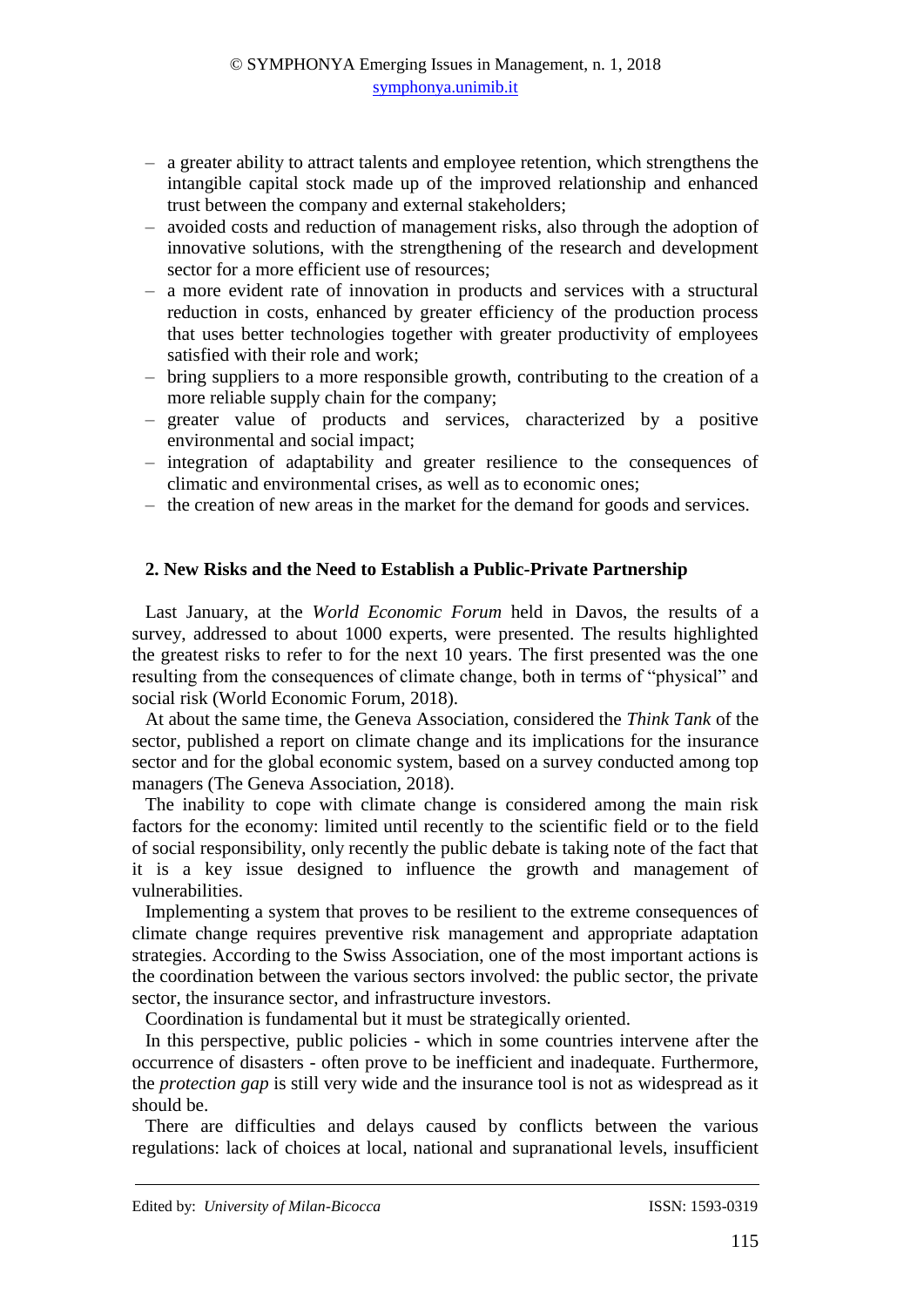- ‒ a greater ability to attract talents and employee retention, which strengthens the intangible capital stock made up of the improved relationship and enhanced trust between the company and external stakeholders;
- ‒ avoided costs and reduction of management risks, also through the adoption of innovative solutions, with the strengthening of the research and development sector for a more efficient use of resources;
- ‒ a more evident rate of innovation in products and services with a structural reduction in costs, enhanced by greater efficiency of the production process that uses better technologies together with greater productivity of employees satisfied with their role and work;
- ‒ bring suppliers to a more responsible growth, contributing to the creation of a more reliable supply chain for the company;
- ‒ greater value of products and services, characterized by a positive environmental and social impact;
- ‒ integration of adaptability and greater resilience to the consequences of climatic and environmental crises, as well as to economic ones;
- ‒ the creation of new areas in the market for the demand for goods and services.

## **2. New Risks and the Need to Establish a Public-Private Partnership**

Last January, at the *World Economic Forum* held in Davos, the results of a survey, addressed to about 1000 experts, were presented. The results highlighted the greatest risks to refer to for the next 10 years. The first presented was the one resulting from the consequences of climate change, both in terms of "physical" and social risk (World Economic Forum, 2018).

At about the same time, the Geneva Association, considered the *Think Tank* of the sector, published a report on climate change and its implications for the insurance sector and for the global economic system, based on a survey conducted among top managers (The Geneva Association, 2018).

The inability to cope with climate change is considered among the main risk factors for the economy: limited until recently to the scientific field or to the field of social responsibility, only recently the public debate is taking note of the fact that it is a key issue designed to influence the growth and management of vulnerabilities.

Implementing a system that proves to be resilient to the extreme consequences of climate change requires preventive risk management and appropriate adaptation strategies. According to the Swiss Association, one of the most important actions is the coordination between the various sectors involved: the public sector, the private sector, the insurance sector, and infrastructure investors.

Coordination is fundamental but it must be strategically oriented.

In this perspective, public policies - which in some countries intervene after the occurrence of disasters - often prove to be inefficient and inadequate. Furthermore, the *protection gap* is still very wide and the insurance tool is not as widespread as it should be.

There are difficulties and delays caused by conflicts between the various regulations: lack of choices at local, national and supranational levels, insufficient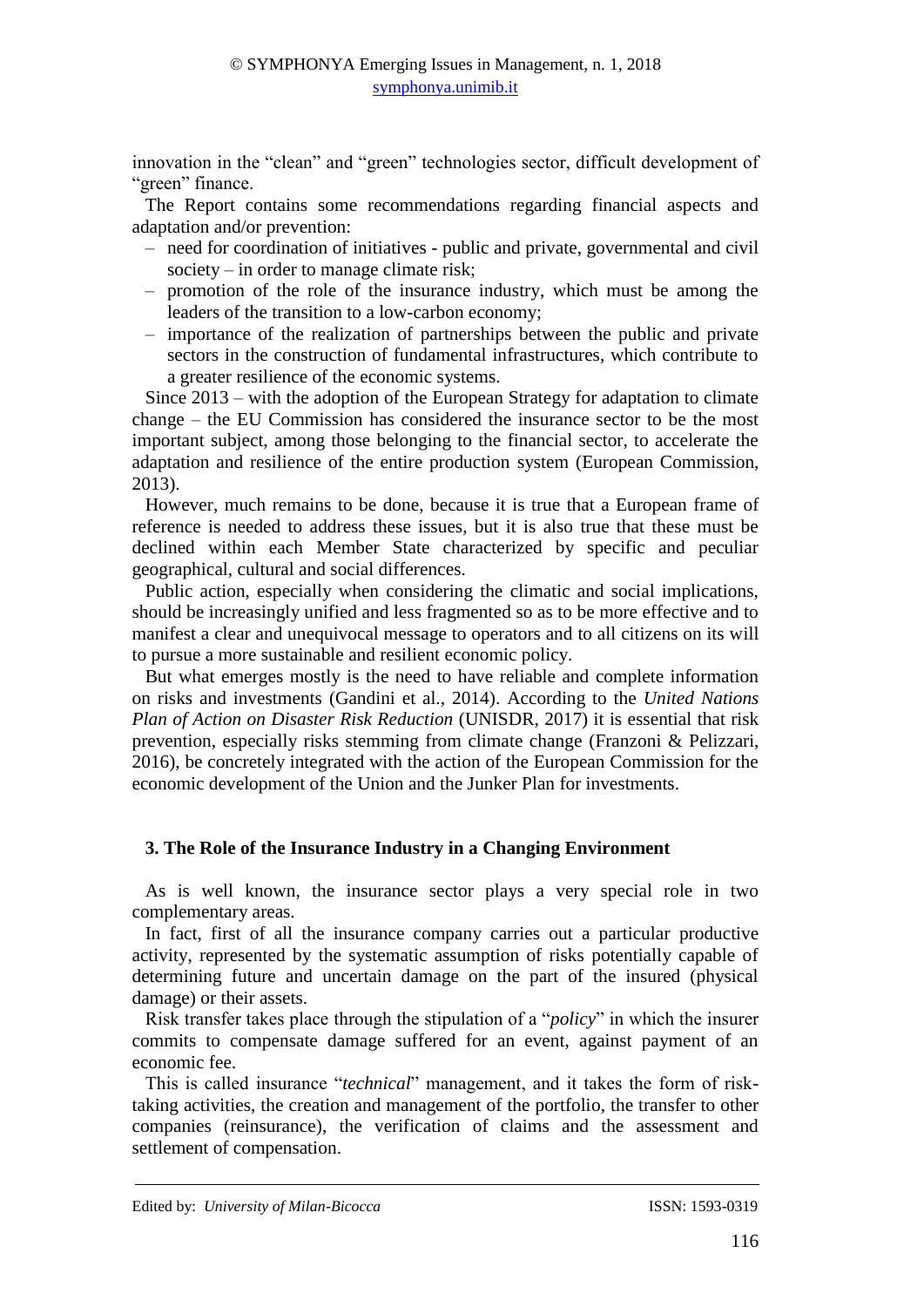innovation in the "clean" and "green" technologies sector, difficult development of "green" finance.

The Report contains some recommendations regarding financial aspects and adaptation and/or prevention:

- ‒ need for coordination of initiatives public and private, governmental and civil society – in order to manage climate risk;
- ‒ promotion of the role of the insurance industry, which must be among the leaders of the transition to a low-carbon economy;
- ‒ importance of the realization of partnerships between the public and private sectors in the construction of fundamental infrastructures, which contribute to a greater resilience of the economic systems.

Since 2013 – with the adoption of the European Strategy for adaptation to climate change – the EU Commission has considered the insurance sector to be the most important subject, among those belonging to the financial sector, to accelerate the adaptation and resilience of the entire production system (European Commission, 2013).

However, much remains to be done, because it is true that a European frame of reference is needed to address these issues, but it is also true that these must be declined within each Member State characterized by specific and peculiar geographical, cultural and social differences.

Public action, especially when considering the climatic and social implications, should be increasingly unified and less fragmented so as to be more effective and to manifest a clear and unequivocal message to operators and to all citizens on its will to pursue a more sustainable and resilient economic policy.

But what emerges mostly is the need to have reliable and complete information on risks and investments (Gandini et al., 2014). According to the *United Nations Plan of Action on Disaster Risk Reduction* (UNISDR, 2017) it is essential that risk prevention, especially risks stemming from climate change (Franzoni & Pelizzari, 2016), be concretely integrated with the action of the European Commission for the economic development of the Union and the Junker Plan for investments.

## **3. The Role of the Insurance Industry in a Changing Environment**

As is well known, the insurance sector plays a very special role in two complementary areas.

In fact, first of all the insurance company carries out a particular productive activity, represented by the systematic assumption of risks potentially capable of determining future and uncertain damage on the part of the insured (physical damage) or their assets.

Risk transfer takes place through the stipulation of a "*policy*" in which the insurer commits to compensate damage suffered for an event, against payment of an economic fee.

This is called insurance "*technical*" management, and it takes the form of risktaking activities, the creation and management of the portfolio, the transfer to other companies (reinsurance), the verification of claims and the assessment and settlement of compensation.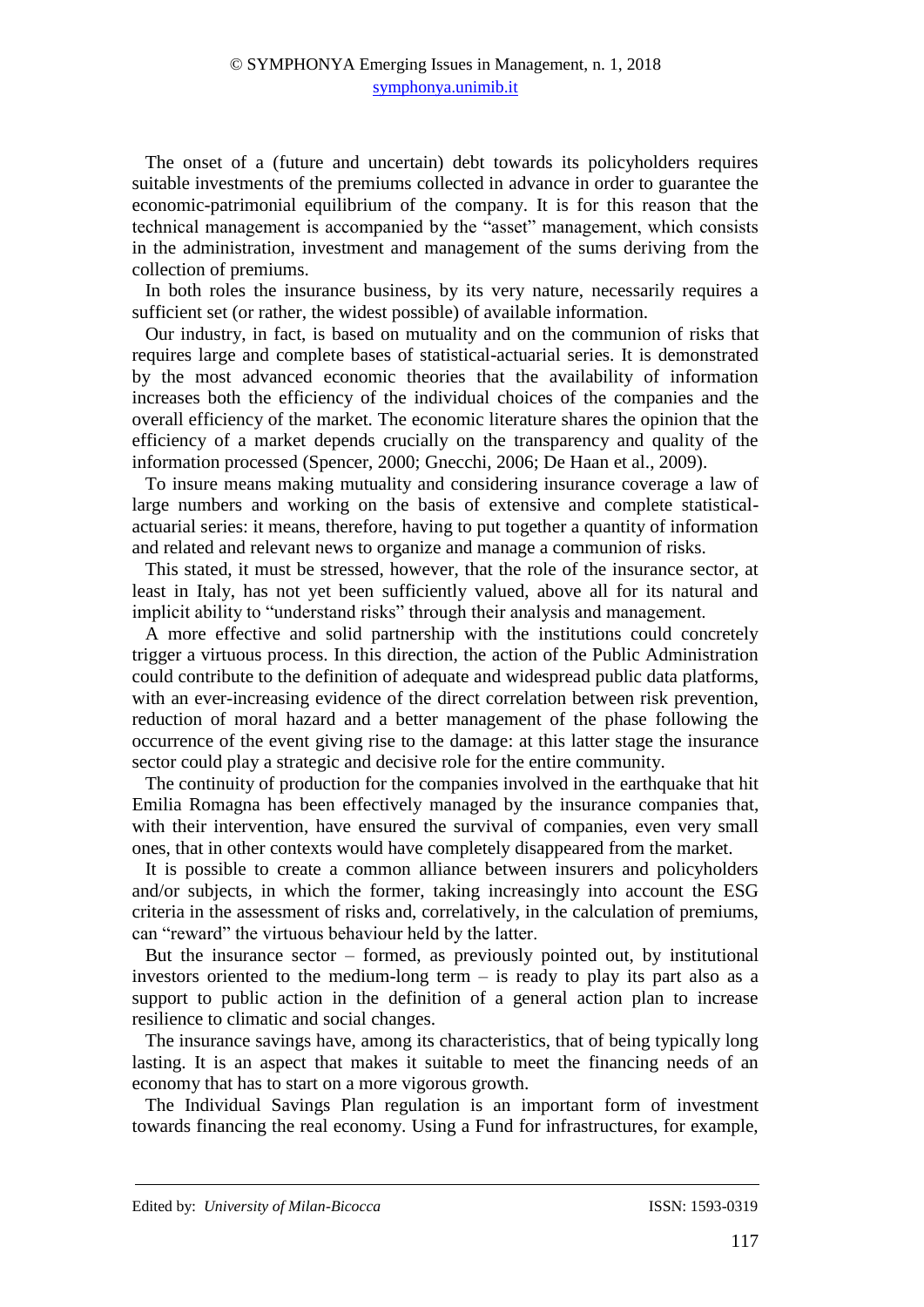The onset of a (future and uncertain) debt towards its policyholders requires suitable investments of the premiums collected in advance in order to guarantee the economic-patrimonial equilibrium of the company. It is for this reason that the technical management is accompanied by the "asset" management, which consists in the administration, investment and management of the sums deriving from the collection of premiums.

In both roles the insurance business, by its very nature, necessarily requires a sufficient set (or rather, the widest possible) of available information.

Our industry, in fact, is based on mutuality and on the communion of risks that requires large and complete bases of statistical-actuarial series. It is demonstrated by the most advanced economic theories that the availability of information increases both the efficiency of the individual choices of the companies and the overall efficiency of the market. The economic literature shares the opinion that the efficiency of a market depends crucially on the transparency and quality of the information processed (Spencer, 2000; Gnecchi, 2006; De Haan et al., 2009).

To insure means making mutuality and considering insurance coverage a law of large numbers and working on the basis of extensive and complete statisticalactuarial series: it means, therefore, having to put together a quantity of information and related and relevant news to organize and manage a communion of risks.

This stated, it must be stressed, however, that the role of the insurance sector, at least in Italy, has not yet been sufficiently valued, above all for its natural and implicit ability to "understand risks" through their analysis and management.

A more effective and solid partnership with the institutions could concretely trigger a virtuous process. In this direction, the action of the Public Administration could contribute to the definition of adequate and widespread public data platforms, with an ever-increasing evidence of the direct correlation between risk prevention, reduction of moral hazard and a better management of the phase following the occurrence of the event giving rise to the damage: at this latter stage the insurance sector could play a strategic and decisive role for the entire community.

The continuity of production for the companies involved in the earthquake that hit Emilia Romagna has been effectively managed by the insurance companies that, with their intervention, have ensured the survival of companies, even very small ones, that in other contexts would have completely disappeared from the market.

It is possible to create a common alliance between insurers and policyholders and/or subjects, in which the former, taking increasingly into account the ESG criteria in the assessment of risks and, correlatively, in the calculation of premiums, can "reward" the virtuous behaviour held by the latter.

But the insurance sector – formed, as previously pointed out, by institutional investors oriented to the medium-long term – is ready to play its part also as a support to public action in the definition of a general action plan to increase resilience to climatic and social changes.

The insurance savings have, among its characteristics, that of being typically long lasting. It is an aspect that makes it suitable to meet the financing needs of an economy that has to start on a more vigorous growth.

The Individual Savings Plan regulation is an important form of investment towards financing the real economy. Using a Fund for infrastructures, for example,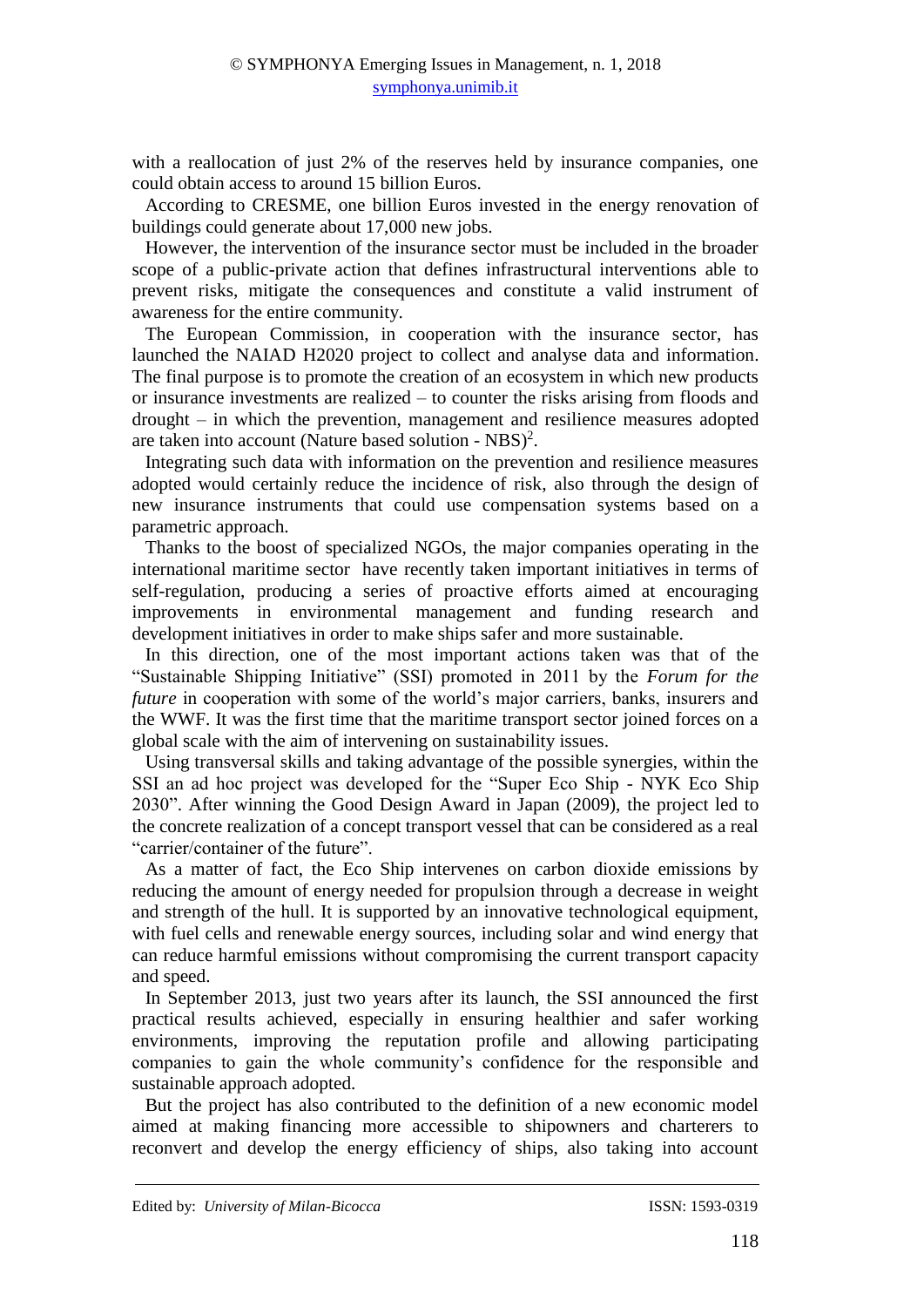with a reallocation of just 2% of the reserves held by insurance companies, one could obtain access to around 15 billion Euros.

According to CRESME, one billion Euros invested in the energy renovation of buildings could generate about 17,000 new jobs.

However, the intervention of the insurance sector must be included in the broader scope of a public-private action that defines infrastructural interventions able to prevent risks, mitigate the consequences and constitute a valid instrument of awareness for the entire community.

The European Commission, in cooperation with the insurance sector, has launched the NAIAD H2020 project to collect and analyse data and information. The final purpose is to promote the creation of an ecosystem in which new products or insurance investments are realized – to counter the risks arising from floods and drought – in which the prevention, management and resilience measures adopted are taken into account (Nature based solution - NBS)<sup>2</sup>.

Integrating such data with information on the prevention and resilience measures adopted would certainly reduce the incidence of risk, also through the design of new insurance instruments that could use compensation systems based on a parametric approach.

Thanks to the boost of specialized NGOs, the major companies operating in the international maritime sector have recently taken important initiatives in terms of self-regulation, producing a series of proactive efforts aimed at encouraging improvements in environmental management and funding research and development initiatives in order to make ships safer and more sustainable.

In this direction, one of the most important actions taken was that of the "Sustainable Shipping Initiative" (SSI) promoted in 2011 by the *Forum for the future* in cooperation with some of the world's major carriers, banks, insurers and the WWF. It was the first time that the maritime transport sector joined forces on a global scale with the aim of intervening on sustainability issues.

Using transversal skills and taking advantage of the possible synergies, within the SSI an ad hoc project was developed for the "Super Eco Ship - NYK Eco Ship 2030". After winning the Good Design Award in Japan (2009), the project led to the concrete realization of a concept transport vessel that can be considered as a real "carrier/container of the future".

As a matter of fact, the Eco Ship intervenes on carbon dioxide emissions by reducing the amount of energy needed for propulsion through a decrease in weight and strength of the hull. It is supported by an innovative technological equipment, with fuel cells and renewable energy sources, including solar and wind energy that can reduce harmful emissions without compromising the current transport capacity and speed.

In September 2013, just two years after its launch, the SSI announced the first practical results achieved, especially in ensuring healthier and safer working environments, improving the reputation profile and allowing participating companies to gain the whole community's confidence for the responsible and sustainable approach adopted.

But the project has also contributed to the definition of a new economic model aimed at making financing more accessible to shipowners and charterers to reconvert and develop the energy efficiency of ships, also taking into account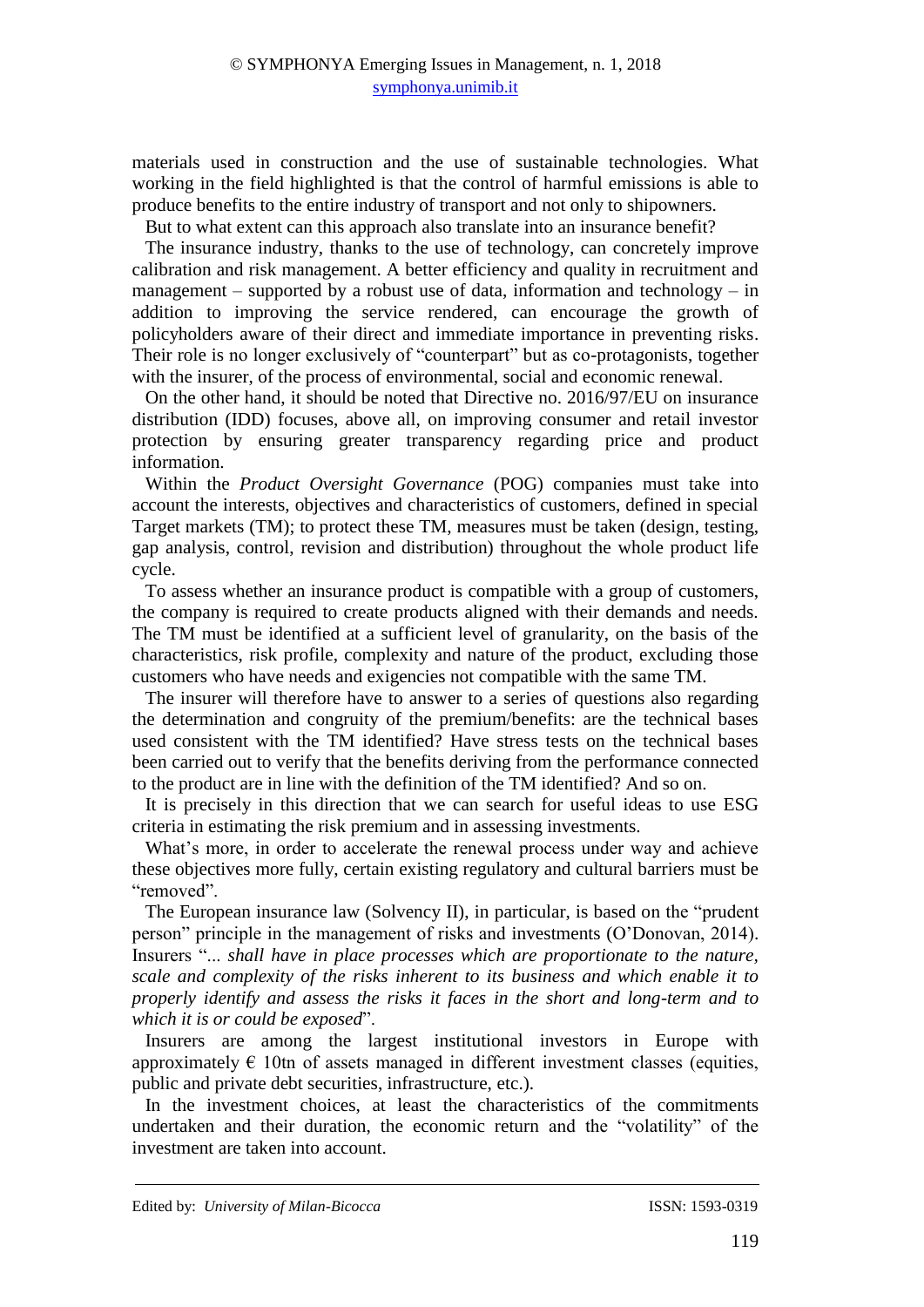materials used in construction and the use of sustainable technologies. What working in the field highlighted is that the control of harmful emissions is able to produce benefits to the entire industry of transport and not only to shipowners.

But to what extent can this approach also translate into an insurance benefit?

The insurance industry, thanks to the use of technology, can concretely improve calibration and risk management. A better efficiency and quality in recruitment and management – supported by a robust use of data, information and technology – in addition to improving the service rendered, can encourage the growth of policyholders aware of their direct and immediate importance in preventing risks. Their role is no longer exclusively of "counterpart" but as co-protagonists, together with the insurer, of the process of environmental, social and economic renewal.

On the other hand, it should be noted that Directive no. 2016/97/EU on insurance distribution (IDD) focuses, above all, on improving consumer and retail investor protection by ensuring greater transparency regarding price and product information.

Within the *Product Oversight Governance* (POG) companies must take into account the interests, objectives and characteristics of customers, defined in special Target markets (TM); to protect these TM, measures must be taken (design, testing, gap analysis, control, revision and distribution) throughout the whole product life cycle.

To assess whether an insurance product is compatible with a group of customers, the company is required to create products aligned with their demands and needs. The TM must be identified at a sufficient level of granularity, on the basis of the characteristics, risk profile, complexity and nature of the product, excluding those customers who have needs and exigencies not compatible with the same TM.

The insurer will therefore have to answer to a series of questions also regarding the determination and congruity of the premium/benefits: are the technical bases used consistent with the TM identified? Have stress tests on the technical bases been carried out to verify that the benefits deriving from the performance connected to the product are in line with the definition of the TM identified? And so on.

It is precisely in this direction that we can search for useful ideas to use ESG criteria in estimating the risk premium and in assessing investments.

What's more, in order to accelerate the renewal process under way and achieve these objectives more fully, certain existing regulatory and cultural barriers must be "removed".

The European insurance law (Solvency II), in particular, is based on the "prudent person" principle in the management of risks and investments (O'Donovan, 2014). Insurers "... *shall have in place processes which are proportionate to the nature, scale and complexity of the risks inherent to its business and which enable it to properly identify and assess the risks it faces in the short and long-term and to which it is or could be exposed*".

Insurers are among the largest institutional investors in Europe with approximately  $\epsilon$  10tn of assets managed in different investment classes (equities, public and private debt securities, infrastructure, etc.).

In the investment choices, at least the characteristics of the commitments undertaken and their duration, the economic return and the "volatility" of the investment are taken into account.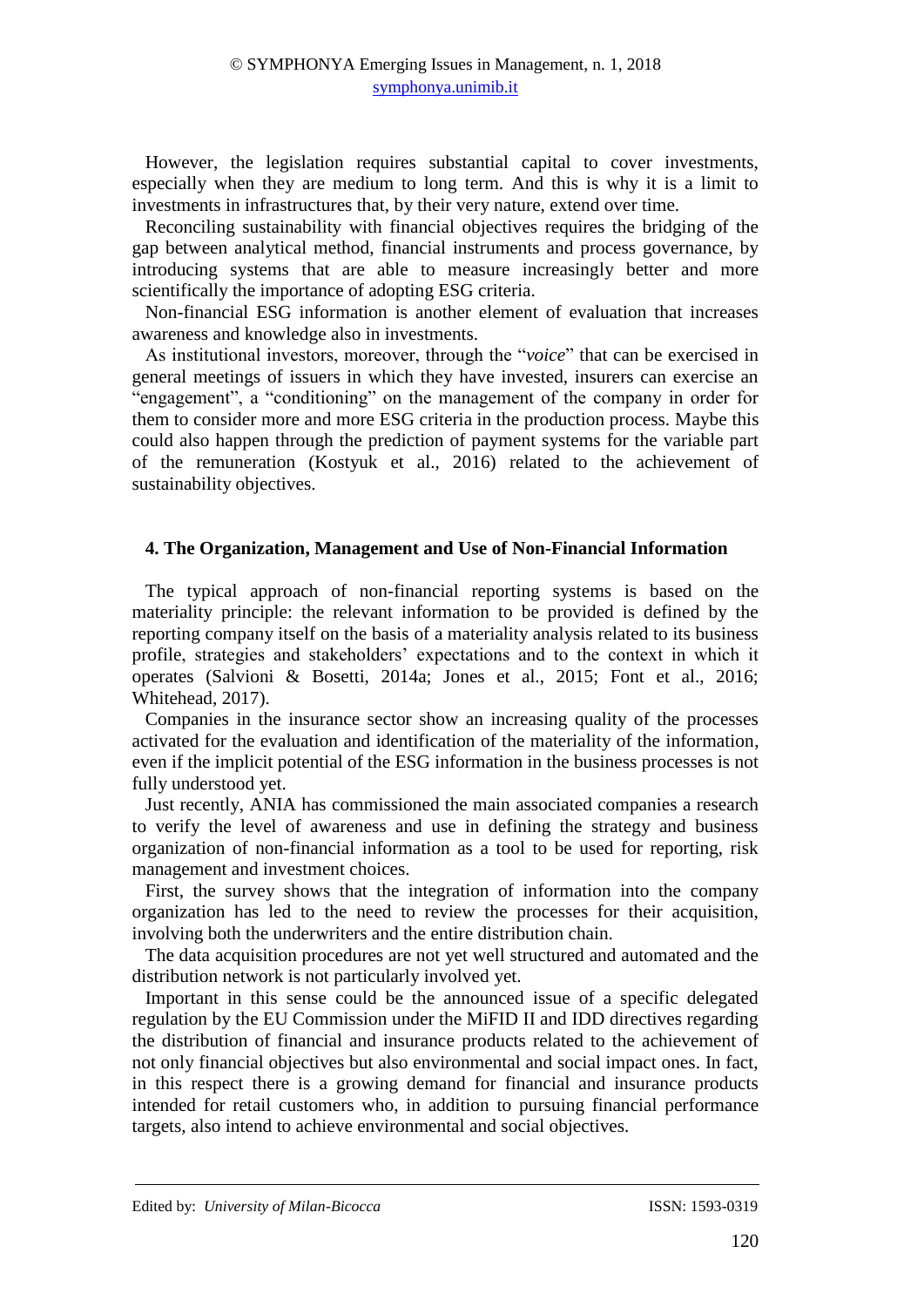However, the legislation requires substantial capital to cover investments, especially when they are medium to long term. And this is why it is a limit to investments in infrastructures that, by their very nature, extend over time.

Reconciling sustainability with financial objectives requires the bridging of the gap between analytical method, financial instruments and process governance, by introducing systems that are able to measure increasingly better and more scientifically the importance of adopting ESG criteria.

Non-financial ESG information is another element of evaluation that increases awareness and knowledge also in investments.

As institutional investors, moreover, through the "*voice*" that can be exercised in general meetings of issuers in which they have invested, insurers can exercise an "engagement", a "conditioning" on the management of the company in order for them to consider more and more ESG criteria in the production process. Maybe this could also happen through the prediction of payment systems for the variable part of the remuneration (Kostyuk et al., 2016) related to the achievement of sustainability objectives.

## **4. The Organization, Management and Use of Non-Financial Information**

The typical approach of non-financial reporting systems is based on the materiality principle: the relevant information to be provided is defined by the reporting company itself on the basis of a materiality analysis related to its business profile, strategies and stakeholders' expectations and to the context in which it operates (Salvioni & Bosetti, 2014a; Jones et al., 2015; Font et al., 2016; Whitehead, 2017).

Companies in the insurance sector show an increasing quality of the processes activated for the evaluation and identification of the materiality of the information, even if the implicit potential of the ESG information in the business processes is not fully understood yet.

Just recently, ANIA has commissioned the main associated companies a research to verify the level of awareness and use in defining the strategy and business organization of non-financial information as a tool to be used for reporting, risk management and investment choices.

First, the survey shows that the integration of information into the company organization has led to the need to review the processes for their acquisition, involving both the underwriters and the entire distribution chain.

The data acquisition procedures are not yet well structured and automated and the distribution network is not particularly involved yet.

Important in this sense could be the announced issue of a specific delegated regulation by the EU Commission under the MiFID II and IDD directives regarding the distribution of financial and insurance products related to the achievement of not only financial objectives but also environmental and social impact ones. In fact, in this respect there is a growing demand for financial and insurance products intended for retail customers who, in addition to pursuing financial performance targets, also intend to achieve environmental and social objectives.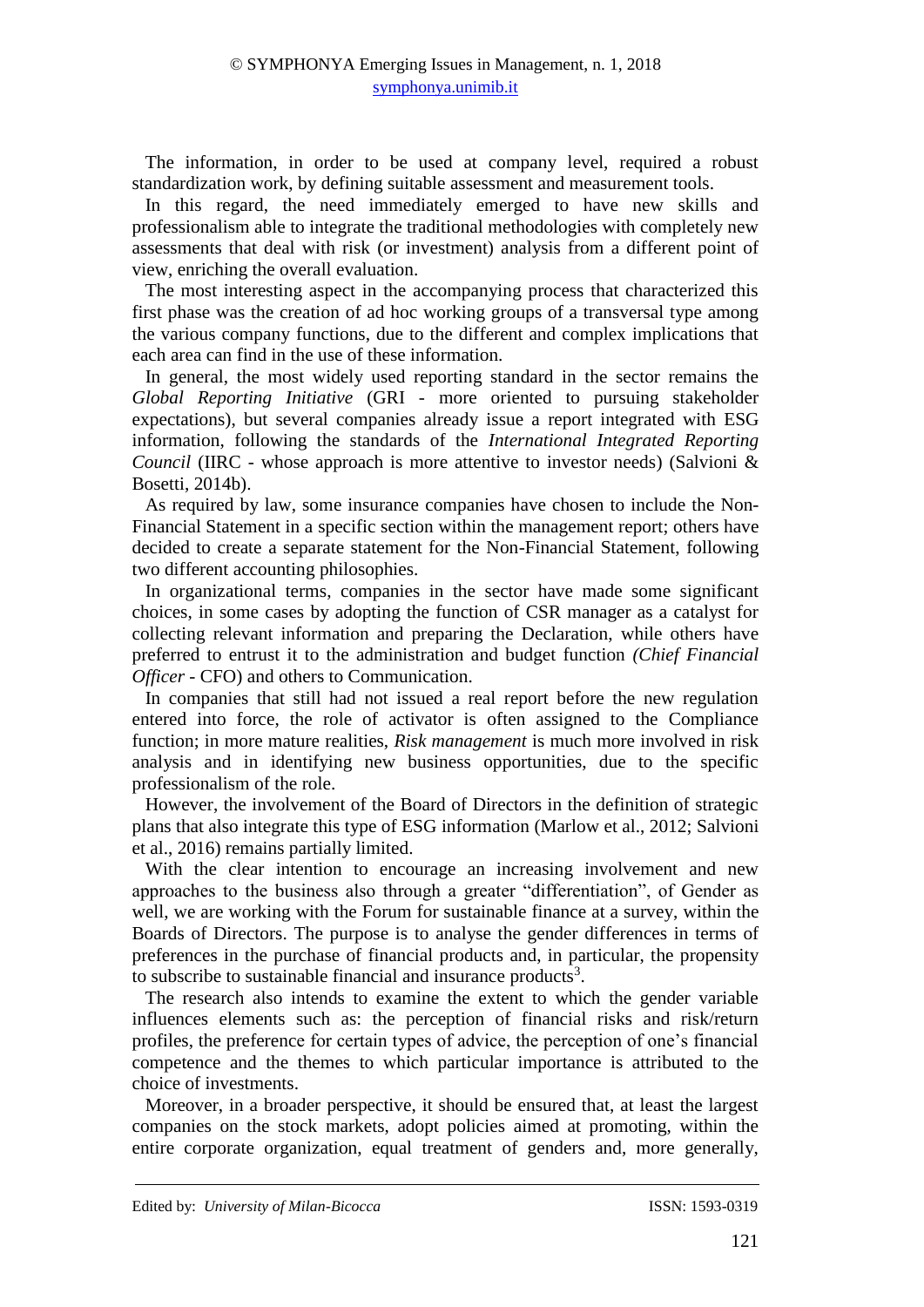The information, in order to be used at company level, required a robust standardization work, by defining suitable assessment and measurement tools.

In this regard, the need immediately emerged to have new skills and professionalism able to integrate the traditional methodologies with completely new assessments that deal with risk (or investment) analysis from a different point of view, enriching the overall evaluation.

The most interesting aspect in the accompanying process that characterized this first phase was the creation of ad hoc working groups of a transversal type among the various company functions, due to the different and complex implications that each area can find in the use of these information.

In general, the most widely used reporting standard in the sector remains the *Global Reporting Initiative* (GRI - more oriented to pursuing stakeholder expectations), but several companies already issue a report integrated with ESG information, following the standards of the *International Integrated Reporting Council* (IIRC - whose approach is more attentive to investor needs) (Salvioni & Bosetti, 2014b).

As required by law, some insurance companies have chosen to include the Non-Financial Statement in a specific section within the management report; others have decided to create a separate statement for the Non-Financial Statement, following two different accounting philosophies.

In organizational terms, companies in the sector have made some significant choices, in some cases by adopting the function of CSR manager as a catalyst for collecting relevant information and preparing the Declaration, while others have preferred to entrust it to the administration and budget function *(Chief Financial Officer* - CFO) and others to Communication.

In companies that still had not issued a real report before the new regulation entered into force, the role of activator is often assigned to the Compliance function; in more mature realities, *Risk management* is much more involved in risk analysis and in identifying new business opportunities, due to the specific professionalism of the role.

However, the involvement of the Board of Directors in the definition of strategic plans that also integrate this type of ESG information (Marlow et al., 2012; Salvioni et al., 2016) remains partially limited.

With the clear intention to encourage an increasing involvement and new approaches to the business also through a greater "differentiation", of Gender as well, we are working with the Forum for sustainable finance at a survey, within the Boards of Directors. The purpose is to analyse the gender differences in terms of preferences in the purchase of financial products and, in particular, the propensity to subscribe to sustainable financial and insurance products<sup>3</sup>.

The research also intends to examine the extent to which the gender variable influences elements such as: the perception of financial risks and risk/return profiles, the preference for certain types of advice, the perception of one's financial competence and the themes to which particular importance is attributed to the choice of investments.

Moreover, in a broader perspective, it should be ensured that, at least the largest companies on the stock markets, adopt policies aimed at promoting, within the entire corporate organization, equal treatment of genders and, more generally,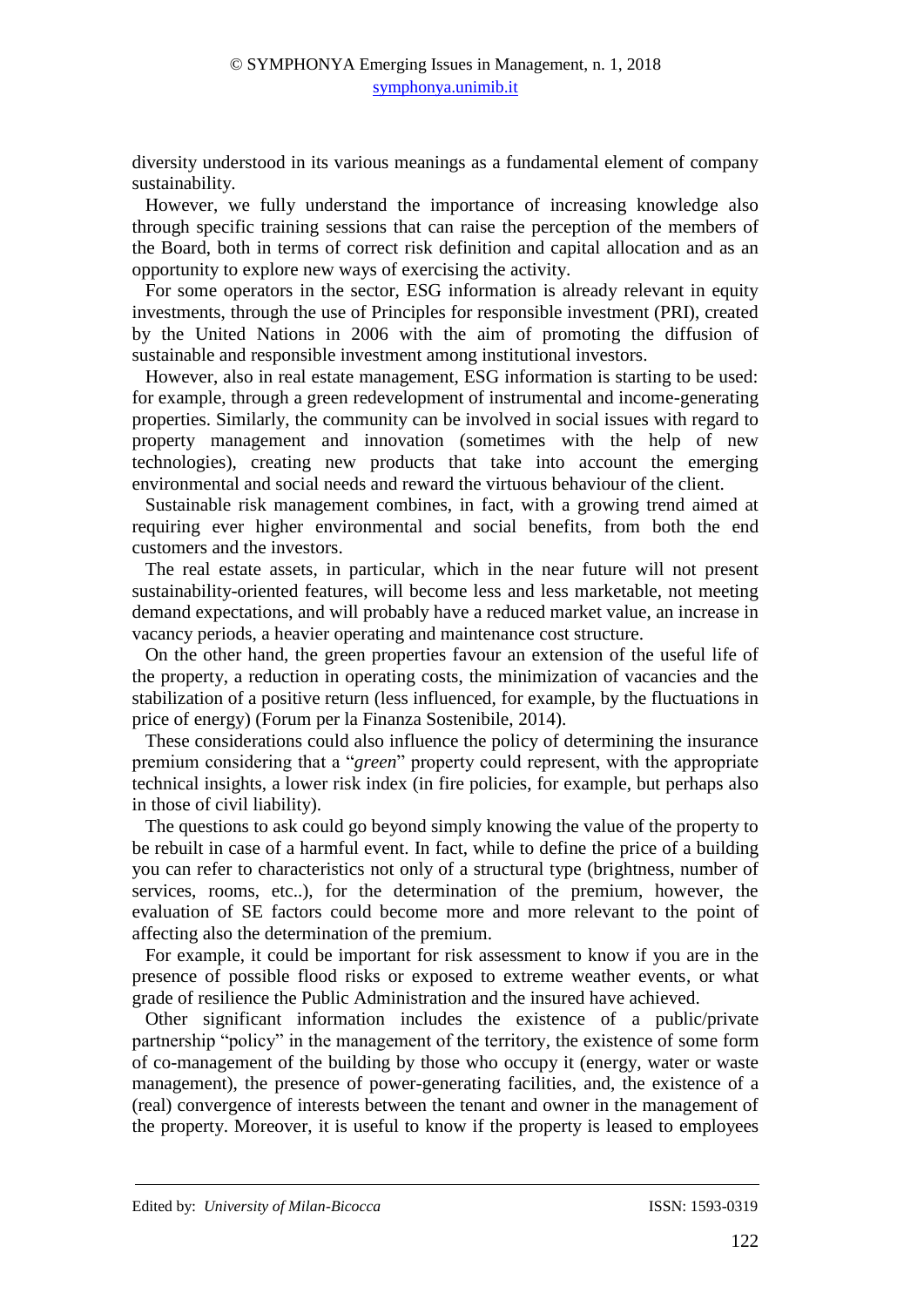diversity understood in its various meanings as a fundamental element of company sustainability.

However, we fully understand the importance of increasing knowledge also through specific training sessions that can raise the perception of the members of the Board, both in terms of correct risk definition and capital allocation and as an opportunity to explore new ways of exercising the activity.

For some operators in the sector, ESG information is already relevant in equity investments, through the use of Principles for responsible investment (PRI), created by the United Nations in 2006 with the aim of promoting the diffusion of sustainable and responsible investment among institutional investors.

However, also in real estate management, ESG information is starting to be used: for example, through a green redevelopment of instrumental and income-generating properties. Similarly, the community can be involved in social issues with regard to property management and innovation (sometimes with the help of new technologies), creating new products that take into account the emerging environmental and social needs and reward the virtuous behaviour of the client.

Sustainable risk management combines, in fact, with a growing trend aimed at requiring ever higher environmental and social benefits, from both the end customers and the investors.

The real estate assets, in particular, which in the near future will not present sustainability-oriented features, will become less and less marketable, not meeting demand expectations, and will probably have a reduced market value, an increase in vacancy periods, a heavier operating and maintenance cost structure.

On the other hand, the green properties favour an extension of the useful life of the property, a reduction in operating costs, the minimization of vacancies and the stabilization of a positive return (less influenced, for example, by the fluctuations in price of energy) (Forum per la Finanza Sostenibile, 2014).

These considerations could also influence the policy of determining the insurance premium considering that a "*green*" property could represent, with the appropriate technical insights, a lower risk index (in fire policies, for example, but perhaps also in those of civil liability).

The questions to ask could go beyond simply knowing the value of the property to be rebuilt in case of a harmful event. In fact, while to define the price of a building you can refer to characteristics not only of a structural type (brightness, number of services, rooms, etc..), for the determination of the premium, however, the evaluation of SE factors could become more and more relevant to the point of affecting also the determination of the premium.

For example, it could be important for risk assessment to know if you are in the presence of possible flood risks or exposed to extreme weather events, or what grade of resilience the Public Administration and the insured have achieved.

Other significant information includes the existence of a public/private partnership "policy" in the management of the territory, the existence of some form of co-management of the building by those who occupy it (energy, water or waste management), the presence of power-generating facilities, and, the existence of a (real) convergence of interests between the tenant and owner in the management of the property. Moreover, it is useful to know if the property is leased to employees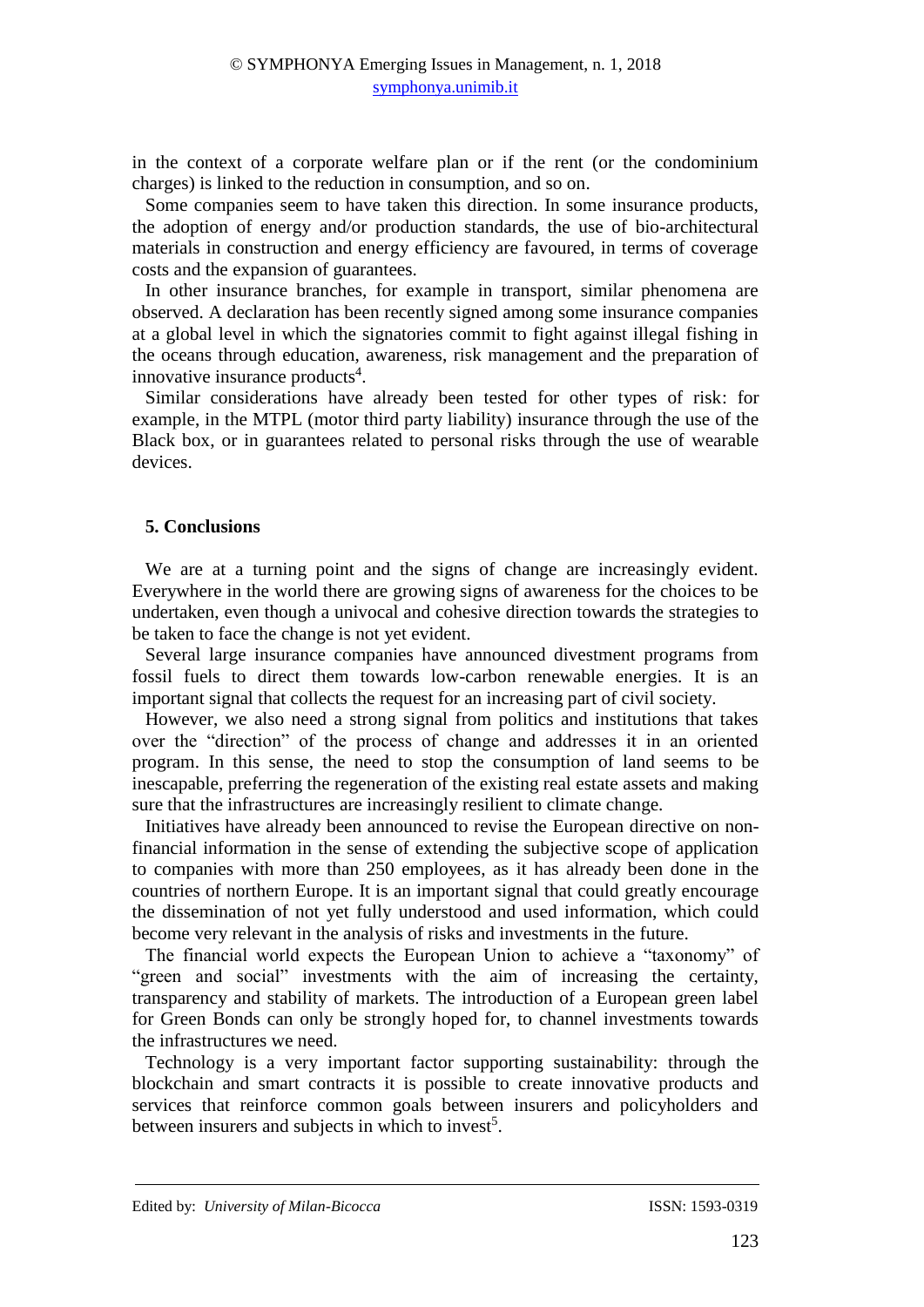in the context of a corporate welfare plan or if the rent (or the condominium charges) is linked to the reduction in consumption, and so on.

Some companies seem to have taken this direction. In some insurance products, the adoption of energy and/or production standards, the use of bio-architectural materials in construction and energy efficiency are favoured, in terms of coverage costs and the expansion of guarantees.

In other insurance branches, for example in transport, similar phenomena are observed. A declaration has been recently signed among some insurance companies at a global level in which the signatories commit to fight against illegal fishing in the oceans through education, awareness, risk management and the preparation of innovative insurance products<sup>4</sup>.

Similar considerations have already been tested for other types of risk: for example, in the MTPL (motor third party liability) insurance through the use of the Black box, or in guarantees related to personal risks through the use of wearable devices.

### **5. Conclusions**

We are at a turning point and the signs of change are increasingly evident. Everywhere in the world there are growing signs of awareness for the choices to be undertaken, even though a univocal and cohesive direction towards the strategies to be taken to face the change is not yet evident.

Several large insurance companies have announced divestment programs from fossil fuels to direct them towards low-carbon renewable energies. It is an important signal that collects the request for an increasing part of civil society.

However, we also need a strong signal from politics and institutions that takes over the "direction" of the process of change and addresses it in an oriented program. In this sense, the need to stop the consumption of land seems to be inescapable, preferring the regeneration of the existing real estate assets and making sure that the infrastructures are increasingly resilient to climate change.

Initiatives have already been announced to revise the European directive on nonfinancial information in the sense of extending the subjective scope of application to companies with more than 250 employees, as it has already been done in the countries of northern Europe. It is an important signal that could greatly encourage the dissemination of not yet fully understood and used information, which could become very relevant in the analysis of risks and investments in the future.

The financial world expects the European Union to achieve a "taxonomy" of "green and social" investments with the aim of increasing the certainty, transparency and stability of markets. The introduction of a European green label for Green Bonds can only be strongly hoped for, to channel investments towards the infrastructures we need.

Technology is a very important factor supporting sustainability: through the blockchain and smart contracts it is possible to create innovative products and services that reinforce common goals between insurers and policyholders and between insurers and subjects in which to invest<sup>5</sup>.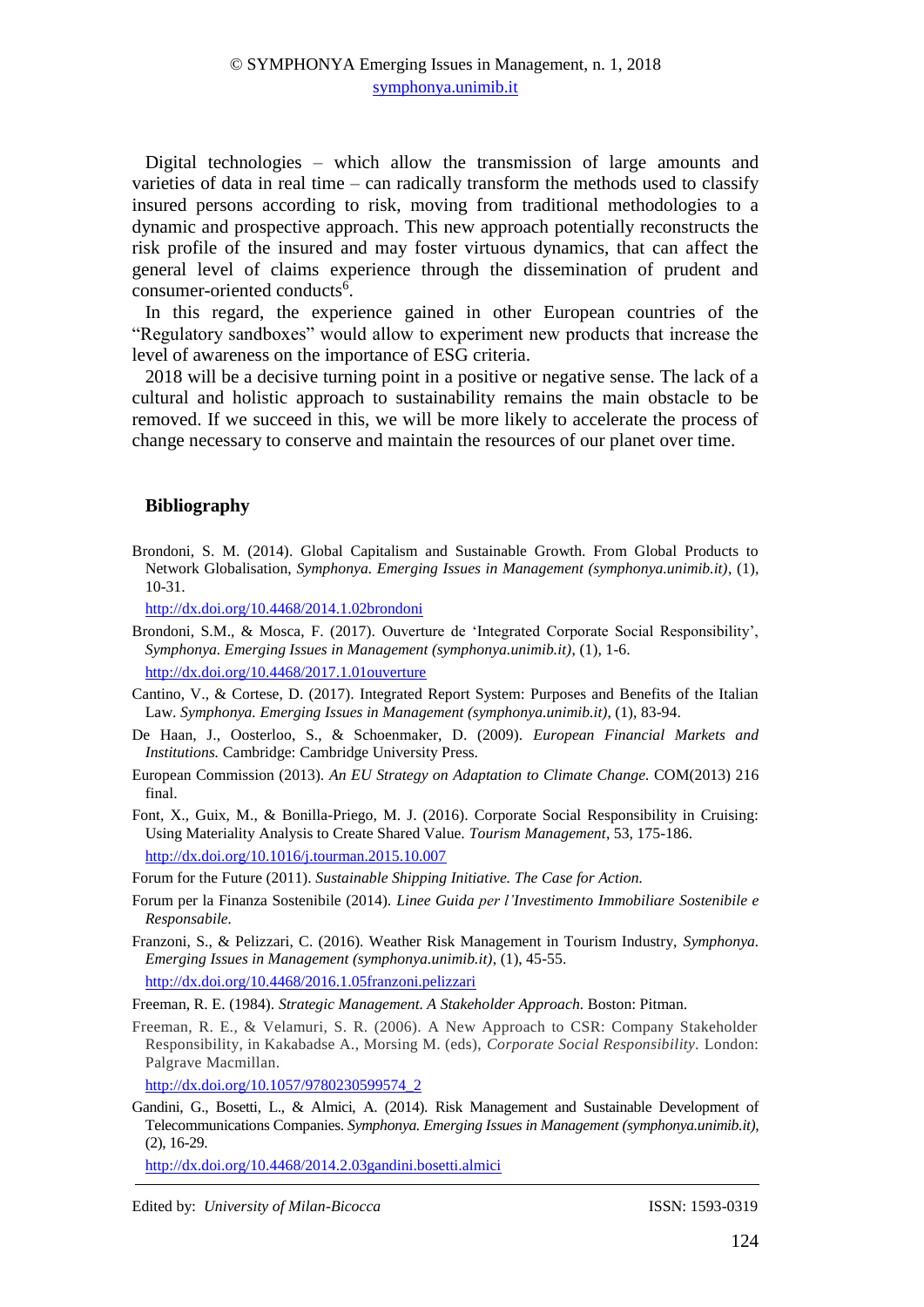Digital technologies – which allow the transmission of large amounts and varieties of data in real time – can radically transform the methods used to classify insured persons according to risk, moving from traditional methodologies to a dynamic and prospective approach. This new approach potentially reconstructs the risk profile of the insured and may foster virtuous dynamics, that can affect the general level of claims experience through the dissemination of prudent and consumer-oriented conducts<sup>6</sup>.

In this regard, the experience gained in other European countries of the "Regulatory sandboxes" would allow to experiment new products that increase the level of awareness on the importance of ESG criteria.

2018 will be a decisive turning point in a positive or negative sense. The lack of a cultural and holistic approach to sustainability remains the main obstacle to be removed. If we succeed in this, we will be more likely to accelerate the process of change necessary to conserve and maintain the resources of our planet over time.

### **Bibliography**

Brondoni, S. M. (2014). Global Capitalism and Sustainable Growth. From Global Products to Network Globalisation, *Symphonya. Emerging Issues in Management (symphonya.unimib.it)*, (1), 10-31.

<http://dx.doi.org/10.4468/2014.1.02brondoni>

Brondoni, S.M., & Mosca, F. (2017). Ouverture de 'Integrated Corporate Social Responsibility', *Symphonya. Emerging Issues in Management (symphonya.unimib.it)*, (1), 1-6.

<http://dx.doi.org/10.4468/2017.1.01ouverture>

- Cantino, V., & Cortese, D. (2017). Integrated Report System: Purposes and Benefits of the Italian Law. *Symphonya. Emerging Issues in Management (symphonya.unimib.it)*, (1), 83-94.
- De Haan, J., Oosterloo, S., & Schoenmaker, D. (2009). *European Financial Markets and Institutions.* Cambridge: Cambridge University Press.
- European Commission (2013). *An EU Strategy on Adaptation to Climate Change.* COM(2013) 216 final.
- Font, X., Guix, M., & Bonilla-Priego, M. J. (2016). Corporate Social Responsibility in Cruising: Using Materiality Analysis to Create Shared Value. *Tourism Management*, 53, 175-186. <http://dx.doi.org/10.1016/j.tourman.2015.10.007>

Forum for the Future (2011). *Sustainable Shipping Initiative. The Case for Action.*

- Forum per la Finanza Sostenibile (2014). *Linee Guida per l'Investimento Immobiliare Sostenibile e Responsabile.*
- Franzoni, S., & Pelizzari, C. (2016). Weather Risk Management in Tourism Industry, *Symphonya. Emerging Issues in Management (symphonya.unimib.it)*, (1), 45-55. http://dx.doi.org/10.4468/2016.1.05franzoni.pelizzari

Freeman, R. E. (1984). *Strategic Management. A Stakeholder Approach.* Boston: Pitman.

Freeman, R. E., & Velamuri, S. R. (2006). A New Approach to CSR: Company Stakeholder Responsibility, in Kakabadse A., Morsing M. (eds), *Corporate Social Responsibility.* London: Palgrave Macmillan.

http://dx.doi.org/10.1057/9780230599574\_2

Gandini, G., Bosetti, L., & Almici, A. (2014). Risk Management and Sustainable Development of Telecommunications Companies. *Symphonya. Emerging Issues in Management (symphonya.unimib.it)*, (2), 16-29.

<http://dx.doi.org/10.4468/2014.2.03gandini.bosetti.almici>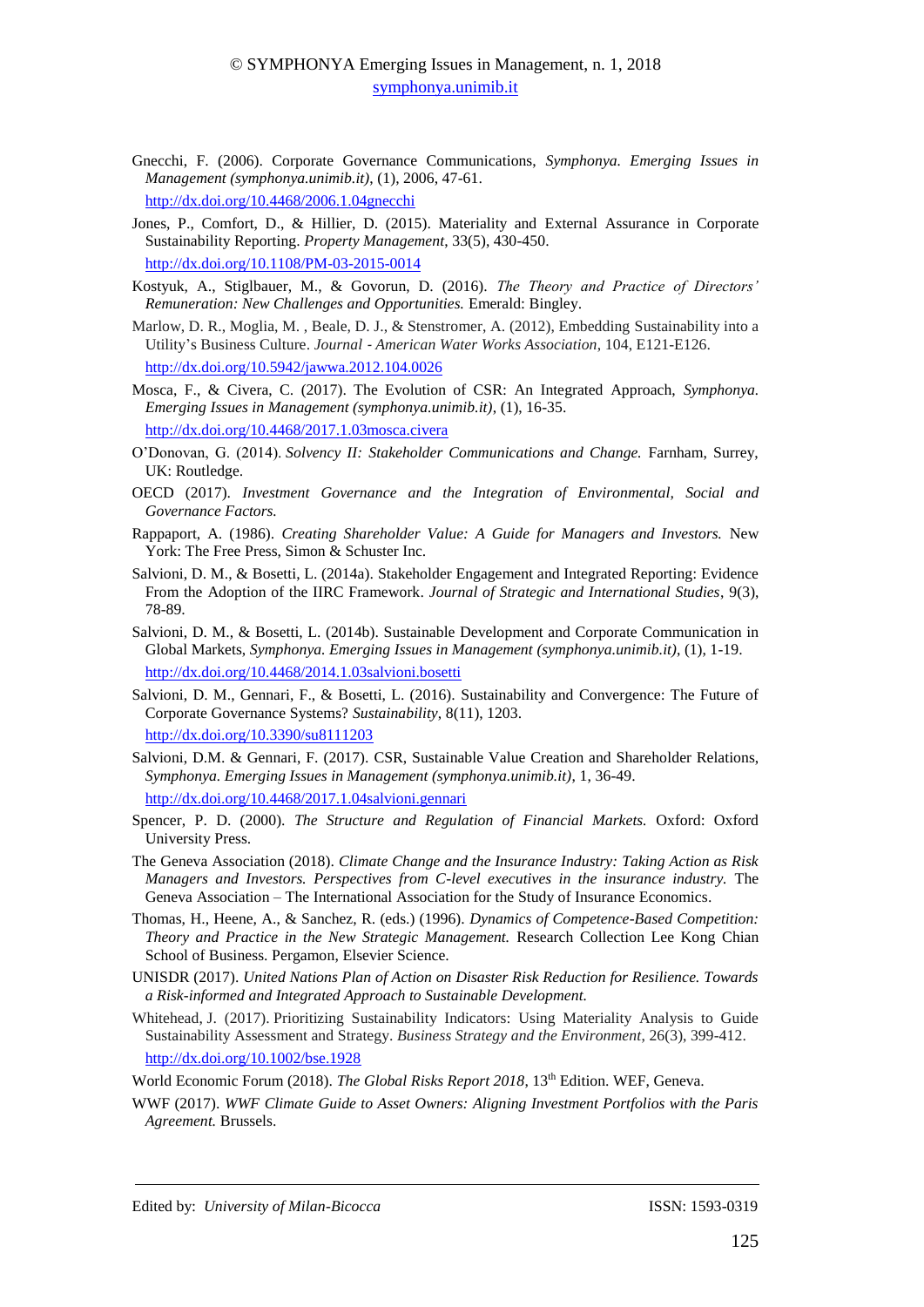- Gnecchi, F. (2006). Corporate Governance Communications, *Symphonya. Emerging Issues in Management (symphonya.unimib.it)*, (1), 2006, 47-61. <http://dx.doi.org/10.4468/2006.1.04gnecchi>
- Jones, P., Comfort, D., & Hillier, D. (2015). Materiality and External Assurance in Corporate Sustainability Reporting. *Property Management*, 33(5), 430-450. http://dx.doi.org/10.1108/PM-03-2015-0014
- Kostyuk, A., Stiglbauer, M., & Govorun, D. (2016). *The Theory and Practice of Directors' Remuneration: New Challenges and Opportunities.* Emerald: Bingley.
- Marlow, D. R., Moglia, M. , Beale, D. J., & Stenstromer, A. (2012), Embedding Sustainability into a Utility's Business Culture. *Journal* ‐ *American Water Works Association*, 104, E121-E126. http://dx.doi.org[/10.5942/jawwa.2012.104.0026](https://doi.org/10.5942/jawwa.2012.104.0026)
- Mosca, F., & Civera, C. (2017). The Evolution of CSR: An Integrated Approach, *Symphonya. Emerging Issues in Management (symphonya.unimib.it)*, (1), 16-35. http://dx.doi.org/10.4468/2017.1.03mosca.civera
- O'Donovan, G. (2014). *Solvency II: Stakeholder Communications and Change.* Farnham, Surrey, UK: Routledge.
- OECD (2017). *Investment Governance and the Integration of Environmental, Social and Governance Factors.*
- Rappaport, A. (1986). *Creating Shareholder Value: A Guide for Managers and Investors.* New York: The Free Press, Simon & Schuster Inc.
- Salvioni, D. M., & Bosetti, L. (2014a). Stakeholder Engagement and Integrated Reporting: Evidence From the Adoption of the IIRC Framework. *Journal of Strategic and International Studies*, 9(3), 78-89.
- Salvioni, D. M., & Bosetti, L. (2014b). Sustainable Development and Corporate Communication in Global Markets, *Symphonya. Emerging Issues in Management (symphonya.unimib.it)*, (1), 1-19. <http://dx.doi.org/10.4468/2014.1.03salvioni.bosetti>
- Salvioni, D. M., Gennari, F., & Bosetti, L. (2016). Sustainability and Convergence: The Future of Corporate Governance Systems? *Sustainability*, 8(11), 1203. <http://dx.doi.org/10.3390/su8111203>
- Salvioni, D.M. & Gennari, F. (2017). CSR, Sustainable Value Creation and Shareholder Relations, *Symphonya. Emerging Issues in Management (symphonya.unimib.it)*, 1, 36-49. <http://dx.doi.org/10.4468/2017.1.04salvioni.gennari>
- Spencer, P. D. (2000). *The Structure and Regulation of Financial Markets.* Oxford: Oxford University Press.
- The Geneva Association (2018). *Climate Change and the Insurance Industry: Taking Action as Risk Managers and Investors. Perspectives from C-level executives in the insurance industry.* The Geneva Association – The International Association for the Study of Insurance Economics.
- Thomas, H., Heene, A., & Sanchez, R. (eds.) (1996). *Dynamics of Competence-Based Competition: Theory and Practice in the New Strategic Management.* Research Collection Lee Kong Chian School of Business. Pergamon, Elsevier Science.
- UNISDR (2017). *United Nations Plan of Action on Disaster Risk Reduction for Resilience. Towards a Risk-informed and Integrated Approach to Sustainable Development.*
- Whitehead, J. (2017). Prioritizing Sustainability Indicators: Using Materiality Analysis to Guide Sustainability Assessment and Strategy. *Business Strategy and the Environment*, 26(3), 399-412. <http://dx.doi.org/10.1002/bse.1928>

World Economic Forum (2018). *The Global Risks Report 2018*, 13th Edition. WEF, Geneva.

WWF (2017). *WWF Climate Guide to Asset Owners: Aligning Investment Portfolios with the Paris Agreement.* Brussels.